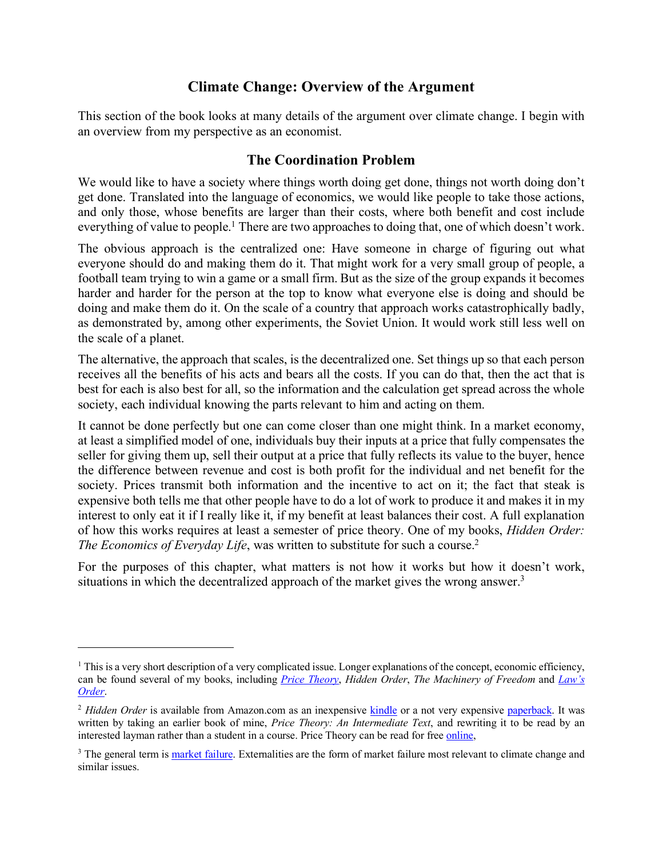## **Climate Change: Overview of the Argument**

This section of the book looks at many details of the argument over climate change. I begin with an overview from my perspective as an economist.

#### **The Coordination Problem**

We would like to have a society where things worth doing get done, things not worth doing don't get done. Translated into the language of economics, we would like people to take those actions, and only those, whose benefits are larger than their costs, where both benefit and cost include everything of value to people.<sup>1</sup> There are two approaches to doing that, one of which doesn't work.

The obvious approach is the centralized one: Have someone in charge of figuring out what everyone should do and making them do it. That might work for a very small group of people, a football team trying to win a game or a small firm. But as the size of the group expands it becomes harder and harder for the person at the top to know what everyone else is doing and should be doing and make them do it. On the scale of a country that approach works catastrophically badly, as demonstrated by, among other experiments, the Soviet Union. It would work still less well on the scale of a planet.

The alternative, the approach that scales, is the decentralized one. Set things up so that each person receives all the benefits of his acts and bears all the costs. If you can do that, then the act that is best for each is also best for all, so the information and the calculation get spread across the whole society, each individual knowing the parts relevant to him and acting on them.

It cannot be done perfectly but one can come closer than one might think. In a market economy, at least a simplified model of one, individuals buy their inputs at a price that fully compensates the seller for giving them up, sell their output at a price that fully reflects its value to the buyer, hence the difference between revenue and cost is both profit for the individual and net benefit for the society. Prices transmit both information and the incentive to act on it; the fact that steak is expensive both tells me that other people have to do a lot of work to produce it and makes it in my interest to only eat it if I really like it, if my benefit at least balances their cost. A full explanation of how this works requires at least a semester of price theory. One of my books, *Hidden Order: The Economics of Everyday Life*, was written to substitute for such a course.<sup>2</sup>

For the purposes of this chapter, what matters is not how it works but how it doesn't work, situations in which the decentralized approach of the market gives the wrong answer.<sup>3</sup>

<sup>&</sup>lt;sup>1</sup> This is a very short description of a very complicated issue. Longer explanations of the concept, economic efficiency, can be found several of my books, including *Price Theory*, *Hidden Order*, *The Machinery of Freedom* and *Law's Order*.

<sup>&</sup>lt;sup>2</sup> Hidden Order is available from Amazon.com as an inexpensive kindle or a not very expensive paperback. It was written by taking an earlier book of mine, *Price Theory: An Intermediate Text*, and rewriting it to be read by an interested layman rather than a student in a course. Price Theory can be read for free online,

<sup>&</sup>lt;sup>3</sup> The general term is market failure. Externalities are the form of market failure most relevant to climate change and similar issues.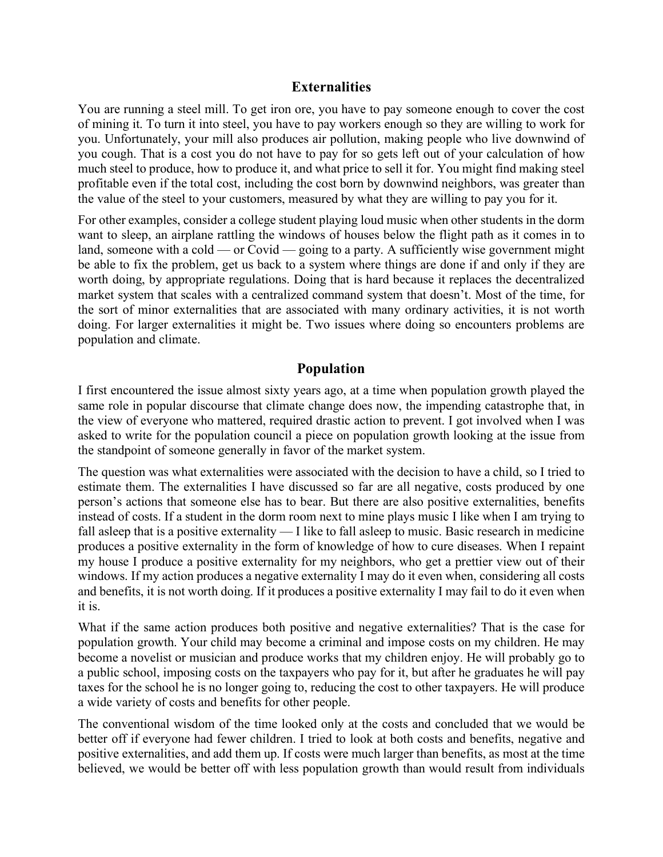#### **Externalities**

You are running a steel mill. To get iron ore, you have to pay someone enough to cover the cost of mining it. To turn it into steel, you have to pay workers enough so they are willing to work for you. Unfortunately, your mill also produces air pollution, making people who live downwind of you cough. That is a cost you do not have to pay for so gets left out of your calculation of how much steel to produce, how to produce it, and what price to sell it for. You might find making steel profitable even if the total cost, including the cost born by downwind neighbors, was greater than the value of the steel to your customers, measured by what they are willing to pay you for it.

For other examples, consider a college student playing loud music when other students in the dorm want to sleep, an airplane rattling the windows of houses below the flight path as it comes in to land, someone with a cold — or Covid — going to a party. A sufficiently wise government might be able to fix the problem, get us back to a system where things are done if and only if they are worth doing, by appropriate regulations. Doing that is hard because it replaces the decentralized market system that scales with a centralized command system that doesn't. Most of the time, for the sort of minor externalities that are associated with many ordinary activities, it is not worth doing. For larger externalities it might be. Two issues where doing so encounters problems are population and climate.

#### **Population**

I first encountered the issue almost sixty years ago, at a time when population growth played the same role in popular discourse that climate change does now, the impending catastrophe that, in the view of everyone who mattered, required drastic action to prevent. I got involved when I was asked to write for the population council a piece on population growth looking at the issue from the standpoint of someone generally in favor of the market system.

The question was what externalities were associated with the decision to have a child, so I tried to estimate them. The externalities I have discussed so far are all negative, costs produced by one person's actions that someone else has to bear. But there are also positive externalities, benefits instead of costs. If a student in the dorm room next to mine plays music I like when I am trying to fall asleep that is a positive externality — I like to fall asleep to music. Basic research in medicine produces a positive externality in the form of knowledge of how to cure diseases. When I repaint my house I produce a positive externality for my neighbors, who get a prettier view out of their windows. If my action produces a negative externality I may do it even when, considering all costs and benefits, it is not worth doing. If it produces a positive externality I may fail to do it even when it is.

What if the same action produces both positive and negative externalities? That is the case for population growth. Your child may become a criminal and impose costs on my children. He may become a novelist or musician and produce works that my children enjoy. He will probably go to a public school, imposing costs on the taxpayers who pay for it, but after he graduates he will pay taxes for the school he is no longer going to, reducing the cost to other taxpayers. He will produce a wide variety of costs and benefits for other people.

The conventional wisdom of the time looked only at the costs and concluded that we would be better off if everyone had fewer children. I tried to look at both costs and benefits, negative and positive externalities, and add them up. If costs were much larger than benefits, as most at the time believed, we would be better off with less population growth than would result from individuals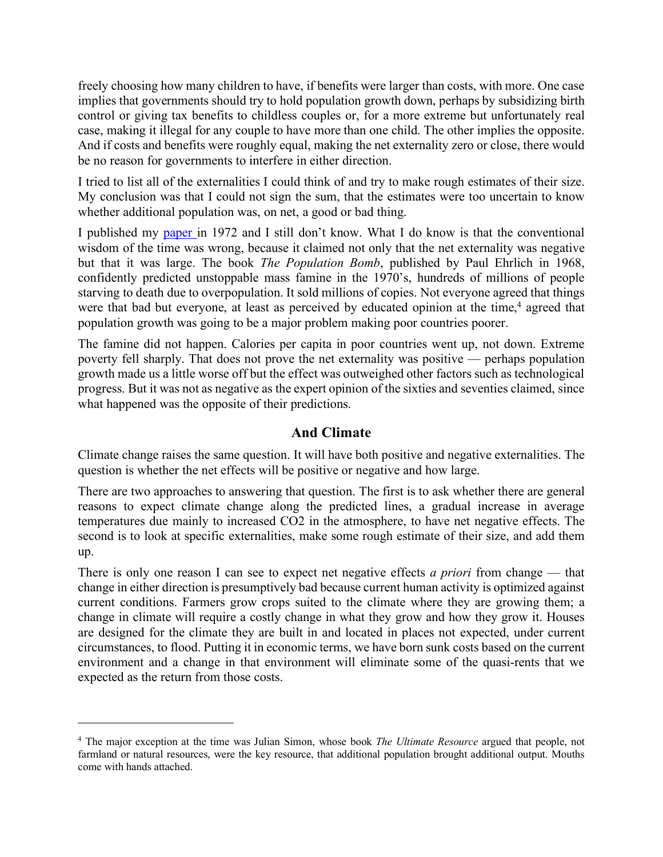freely choosing how many children to have, if benefits were larger than costs, with more. One case implies that governments should try to hold population growth down, perhaps by subsidizing birth control or giving tax benefits to childless couples or, for a more extreme but unfortunately real case, making it illegal for any couple to have more than one child. The other implies the opposite. And if costs and benefits were roughly equal, making the net externality zero or close, there would be no reason for governments to interfere in either direction.

I tried to list all of the externalities I could think of and try to make rough estimates of their size. My conclusion was that I could not sign the sum, that the estimates were too uncertain to know whether additional population was, on net, a good or bad thing.

I published my paper in 1972 and I still don't know. What I do know is that the conventional wisdom of the time was wrong, because it claimed not only that the net externality was negative but that it was large. The book *The Population Bomb*, published by Paul Ehrlich in 1968, confidently predicted unstoppable mass famine in the 1970's, hundreds of millions of people starving to death due to overpopulation. It sold millions of copies. Not everyone agreed that things were that bad but everyone, at least as perceived by educated opinion at the time,<sup>4</sup> agreed that population growth was going to be a major problem making poor countries poorer.

The famine did not happen. Calories per capita in poor countries went up, not down. Extreme poverty fell sharply. That does not prove the net externality was positive — perhaps population growth made us a little worse off but the effect was outweighed other factors such as technological progress. But it was not as negative as the expert opinion of the sixties and seventies claimed, since what happened was the opposite of their predictions.

### **And Climate**

Climate change raises the same question. It will have both positive and negative externalities. The question is whether the net effects will be positive or negative and how large.

There are two approaches to answering that question. The first is to ask whether there are general reasons to expect climate change along the predicted lines, a gradual increase in average temperatures due mainly to increased CO2 in the atmosphere, to have net negative effects. The second is to look at specific externalities, make some rough estimate of their size, and add them up.

There is only one reason I can see to expect net negative effects *a priori* from change — that change in either direction is presumptively bad because current human activity is optimized against current conditions. Farmers grow crops suited to the climate where they are growing them; a change in climate will require a costly change in what they grow and how they grow it. Houses are designed for the climate they are built in and located in places not expected, under current circumstances, to flood. Putting it in economic terms, we have born sunk costs based on the current environment and a change in that environment will eliminate some of the quasi-rents that we expected as the return from those costs.

<sup>4</sup> The major exception at the time was Julian Simon, whose book *The Ultimate Resource* argued that people, not farmland or natural resources, were the key resource, that additional population brought additional output. Mouths come with hands attached.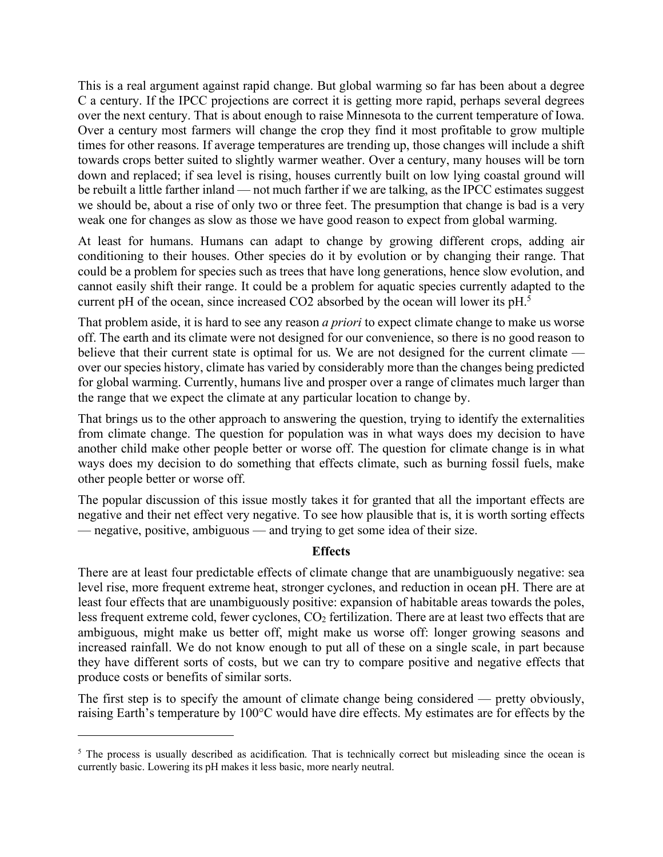This is a real argument against rapid change. But global warming so far has been about a degree C a century. If the IPCC projections are correct it is getting more rapid, perhaps several degrees over the next century. That is about enough to raise Minnesota to the current temperature of Iowa. Over a century most farmers will change the crop they find it most profitable to grow multiple times for other reasons. If average temperatures are trending up, those changes will include a shift towards crops better suited to slightly warmer weather. Over a century, many houses will be torn down and replaced; if sea level is rising, houses currently built on low lying coastal ground will be rebuilt a little farther inland — not much farther if we are talking, as the IPCC estimates suggest we should be, about a rise of only two or three feet. The presumption that change is bad is a very weak one for changes as slow as those we have good reason to expect from global warming.

At least for humans. Humans can adapt to change by growing different crops, adding air conditioning to their houses. Other species do it by evolution or by changing their range. That could be a problem for species such as trees that have long generations, hence slow evolution, and cannot easily shift their range. It could be a problem for aquatic species currently adapted to the current pH of the ocean, since increased CO2 absorbed by the ocean will lower its pH.5

That problem aside, it is hard to see any reason *a priori* to expect climate change to make us worse off. The earth and its climate were not designed for our convenience, so there is no good reason to believe that their current state is optimal for us. We are not designed for the current climate over our species history, climate has varied by considerably more than the changes being predicted for global warming. Currently, humans live and prosper over a range of climates much larger than the range that we expect the climate at any particular location to change by.

That brings us to the other approach to answering the question, trying to identify the externalities from climate change. The question for population was in what ways does my decision to have another child make other people better or worse off. The question for climate change is in what ways does my decision to do something that effects climate, such as burning fossil fuels, make other people better or worse off.

The popular discussion of this issue mostly takes it for granted that all the important effects are negative and their net effect very negative. To see how plausible that is, it is worth sorting effects — negative, positive, ambiguous — and trying to get some idea of their size.

#### **Effects**

There are at least four predictable effects of climate change that are unambiguously negative: sea level rise, more frequent extreme heat, stronger cyclones, and reduction in ocean pH. There are at least four effects that are unambiguously positive: expansion of habitable areas towards the poles, less frequent extreme cold, fewer cyclones, CO<sub>2</sub> fertilization. There are at least two effects that are ambiguous, might make us better off, might make us worse off: longer growing seasons and increased rainfall. We do not know enough to put all of these on a single scale, in part because they have different sorts of costs, but we can try to compare positive and negative effects that produce costs or benefits of similar sorts.

The first step is to specify the amount of climate change being considered — pretty obviously, raising Earth's temperature by 100°C would have dire effects. My estimates are for effects by the

<sup>&</sup>lt;sup>5</sup> The process is usually described as acidification. That is technically correct but misleading since the ocean is currently basic. Lowering its pH makes it less basic, more nearly neutral.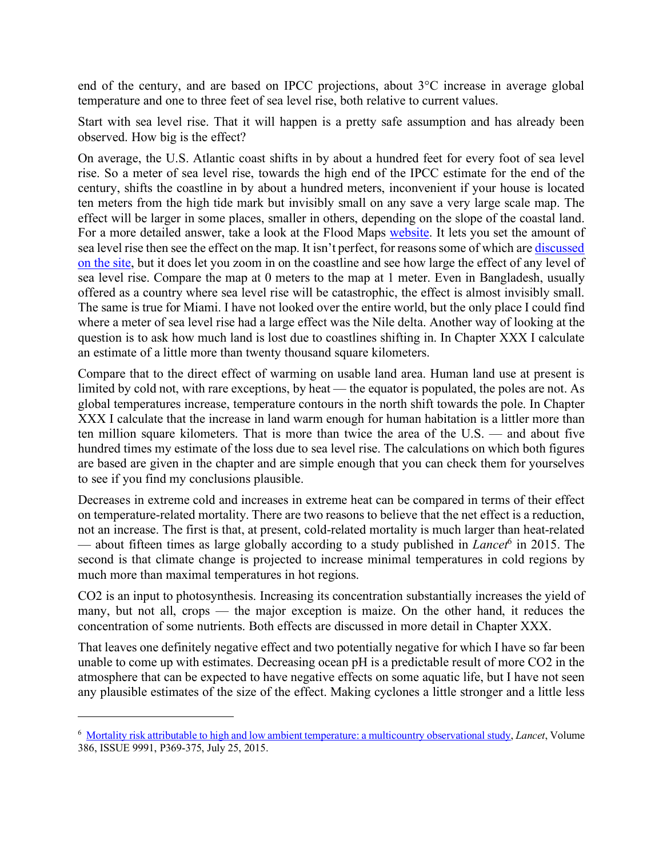end of the century, and are based on IPCC projections, about 3°C increase in average global temperature and one to three feet of sea level rise, both relative to current values.

Start with sea level rise. That it will happen is a pretty safe assumption and has already been observed. How big is the effect?

On average, the U.S. Atlantic coast shifts in by about a hundred feet for every foot of sea level rise. So a meter of sea level rise, towards the high end of the IPCC estimate for the end of the century, shifts the coastline in by about a hundred meters, inconvenient if your house is located ten meters from the high tide mark but invisibly small on any save a very large scale map. The effect will be larger in some places, smaller in others, depending on the slope of the coastal land. For a more detailed answer, take a look at the Flood Maps website. It lets you set the amount of sea level rise then see the effect on the map. It isn't perfect, for reasons some of which are discussed on the site, but it does let you zoom in on the coastline and see how large the effect of any level of sea level rise. Compare the map at 0 meters to the map at 1 meter. Even in Bangladesh, usually offered as a country where sea level rise will be catastrophic, the effect is almost invisibly small. The same is true for Miami. I have not looked over the entire world, but the only place I could find where a meter of sea level rise had a large effect was the Nile delta. Another way of looking at the question is to ask how much land is lost due to coastlines shifting in. In Chapter XXX I calculate an estimate of a little more than twenty thousand square kilometers.

Compare that to the direct effect of warming on usable land area. Human land use at present is limited by cold not, with rare exceptions, by heat — the equator is populated, the poles are not. As global temperatures increase, temperature contours in the north shift towards the pole. In Chapter XXX I calculate that the increase in land warm enough for human habitation is a littler more than ten million square kilometers. That is more than twice the area of the U.S. — and about five hundred times my estimate of the loss due to sea level rise. The calculations on which both figures are based are given in the chapter and are simple enough that you can check them for yourselves to see if you find my conclusions plausible.

Decreases in extreme cold and increases in extreme heat can be compared in terms of their effect on temperature-related mortality. There are two reasons to believe that the net effect is a reduction, not an increase. The first is that, at present, cold-related mortality is much larger than heat-related — about fifteen times as large globally according to a study published in *Lancet*<sup>6</sup> in 2015. The second is that climate change is projected to increase minimal temperatures in cold regions by much more than maximal temperatures in hot regions.

CO2 is an input to photosynthesis. Increasing its concentration substantially increases the yield of many, but not all, crops — the major exception is maize. On the other hand, it reduces the concentration of some nutrients. Both effects are discussed in more detail in Chapter XXX.

That leaves one definitely negative effect and two potentially negative for which I have so far been unable to come up with estimates. Decreasing ocean pH is a predictable result of more CO2 in the atmosphere that can be expected to have negative effects on some aquatic life, but I have not seen any plausible estimates of the size of the effect. Making cyclones a little stronger and a little less

<sup>6</sup> Mortality risk attributable to high and low ambient temperature: a multicountry observational study, *Lancet*, Volume 386, ISSUE 9991, P369-375, July 25, 2015.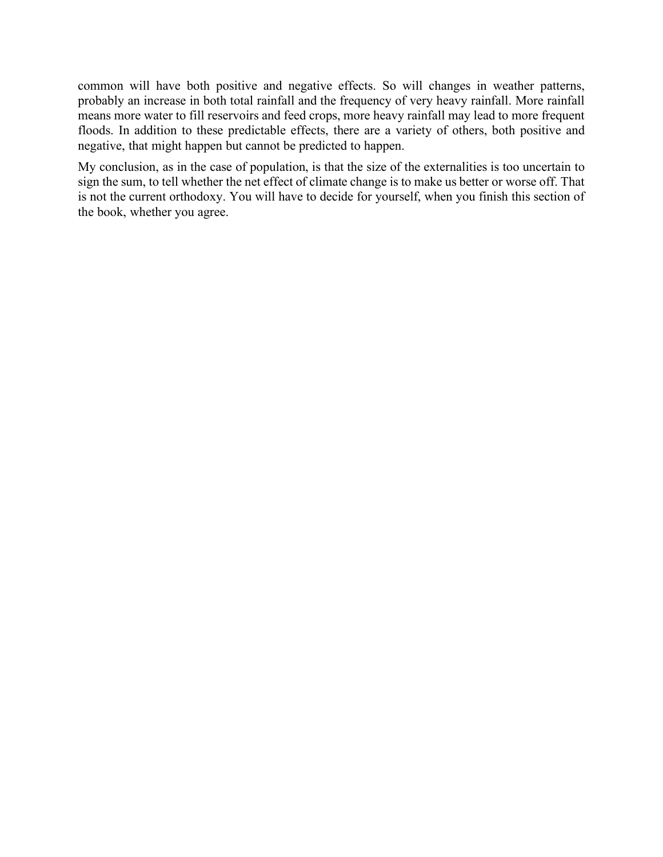common will have both positive and negative effects. So will changes in weather patterns, probably an increase in both total rainfall and the frequency of very heavy rainfall. More rainfall means more water to fill reservoirs and feed crops, more heavy rainfall may lead to more frequent floods. In addition to these predictable effects, there are a variety of others, both positive and negative, that might happen but cannot be predicted to happen.

My conclusion, as in the case of population, is that the size of the externalities is too uncertain to sign the sum, to tell whether the net effect of climate change is to make us better or worse off. That is not the current orthodoxy. You will have to decide for yourself, when you finish this section of the book, whether you agree.